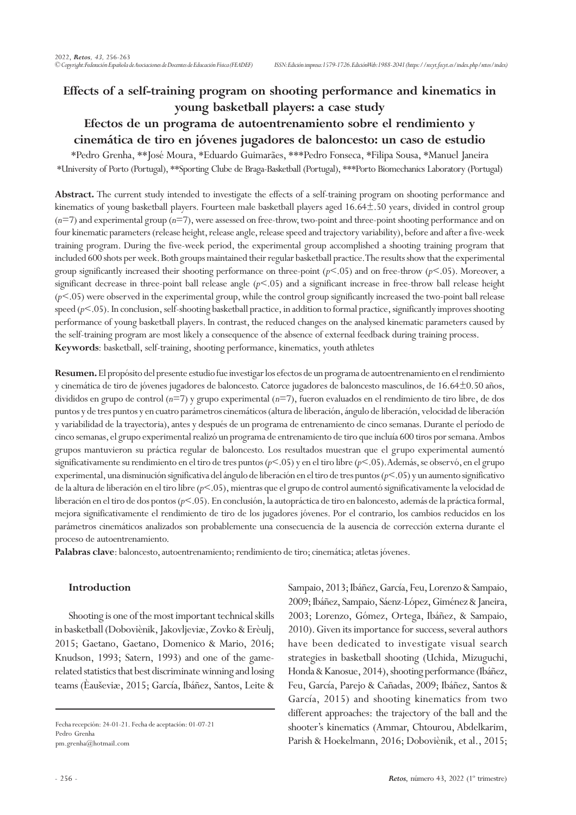# **Effects of a self-training program on shooting performance and kinematics in young basketball players: a case study**

## **Efectos de un programa de autoentrenamiento sobre el rendimiento y cinemática de tiro en jóvenes jugadores de baloncesto: un caso de estudio**

\*Pedro Grenha, \*\*José Moura, \*Eduardo Guimarães, \*\*\*Pedro Fonseca, \*Filipa Sousa, \*Manuel Janeira \*University of Porto (Portugal), \*\*Sporting Clube de Braga-Basketball (Portugal), \*\*\*Porto Biomechanics Laboratory (Portugal)

**Abstract.** The current study intended to investigate the effects of a self-training program on shooting performance and kinematics of young basketball players. Fourteen male basketball players aged 16.64±.50 years, divided in control group (*n*=7) and experimental group (*n*=7), were assessed on free-throw, two-point and three-point shooting performance and on four kinematic parameters (release height, release angle, release speed and trajectory variability), before and after a five-week training program. During the five-week period, the experimental group accomplished a shooting training program that included 600 shots per week. Both groups maintained their regular basketball practice. The results show that the experimental group significantly increased their shooting performance on three-point  $(p<.05)$  and on free-throw  $(p<.05)$ . Moreover, a significant decrease in three-point ball release angle (*p*<.05) and a significant increase in free-throw ball release height (*p*<.05) were observed in the experimental group, while the control group significantly increased the two-point ball release speed ( $p$ <.05). In conclusion, self-shooting basketball practice, in addition to formal practice, significantly improves shooting performance of young basketball players. In contrast, the reduced changes on the analysed kinematic parameters caused by the self-training program are most likely a consequence of the absence of external feedback during training process. **Keywords**: basketball, self-training, shooting performance, kinematics, youth athletes

**Resumen.** El propósito del presente estudio fue investigar los efectos de un programa de autoentrenamiento en el rendimiento y cinemática de tiro de jóvenes jugadores de baloncesto. Catorce jugadores de baloncesto masculinos, de 16.64±0.50 años, divididos en grupo de control (*n*=7) y grupo experimental (*n*=7), fueron evaluados en el rendimiento de tiro libre, de dos puntos y de tres puntos y en cuatro parámetros cinemáticos (altura de liberación, ángulo de liberación, velocidad de liberación y variabilidad de la trayectoria), antes y después de un programa de entrenamiento de cinco semanas. Durante el período de cinco semanas, el grupo experimental realizó un programa de entrenamiento de tiro que incluía 600 tiros por semana. Ambos grupos mantuvieron su práctica regular de baloncesto. Los resultados muestran que el grupo experimental aumentó significativamente su rendimiento en el tiro de tres puntos (*p*<.05) y en el tiro libre (*p*<.05). Además, se observó, en el grupo experimental, una disminución significativa del ángulo de liberación en el tiro de tres puntos (*p*<.05) y un aumento significativo de la altura de liberación en el tiro libre (*p*<.05), mientras que el grupo de control aumentó significativamente la velocidad de liberación en el tiro de dos pontos (*p*<.05). En conclusión, la autopráctica de tiro en baloncesto, además de la práctica formal, mejora significativamente el rendimiento de tiro de los jugadores jóvenes. Por el contrario, los cambios reducidos en los parámetros cinemáticos analizados son probablemente una consecuencia de la ausencia de corrección externa durante el proceso de autoentrenamiento.

**Palabras clave**: baloncesto, autoentrenamiento; rendimiento de tiro; cinemática; atletas jóvenes.

## **Introduction**

Shooting is one of the most important technical skills in basketball (Doboviènik, Jakovljeviæ, Zovko & Erèulj, 2015; Gaetano, Gaetano, Domenico & Mario, 2016; Knudson, 1993; Satern, 1993) and one of the gamerelated statistics that best discriminate winning and losing teams (Èauševiæ, 2015; García, Ibáñez, Santos, Leite & Sampaio, 2013; Ibáñez, García, Feu, Lorenzo & Sampaio, 2009; Ibáñez, Sampaio, Sáenz-López, Giménez & Janeira, 2003; Lorenzo, Gómez, Ortega, Ibáñez, & Sampaio, 2010). Given its importance for success, several authors have been dedicated to investigate visual search strategies in basketball shooting (Uchida, Mizuguchi, Honda & Kanosue, 2014), shooting performance (Ibáñez, Feu, García, Parejo & Cañadas, 2009; Ibáñez, Santos & García, 2015) and shooting kinematics from two different approaches: the trajectory of the ball and the shooter's kinematics (Ammar, Chtourou, Abdelkarim, Parish & Hoekelmann, 2016; Doboviènik, et al., 2015;

Fecha recepción: 24-01-21. Fecha de aceptación: 01-07-21 Pedro Grenha pm.grenha@hotmail.com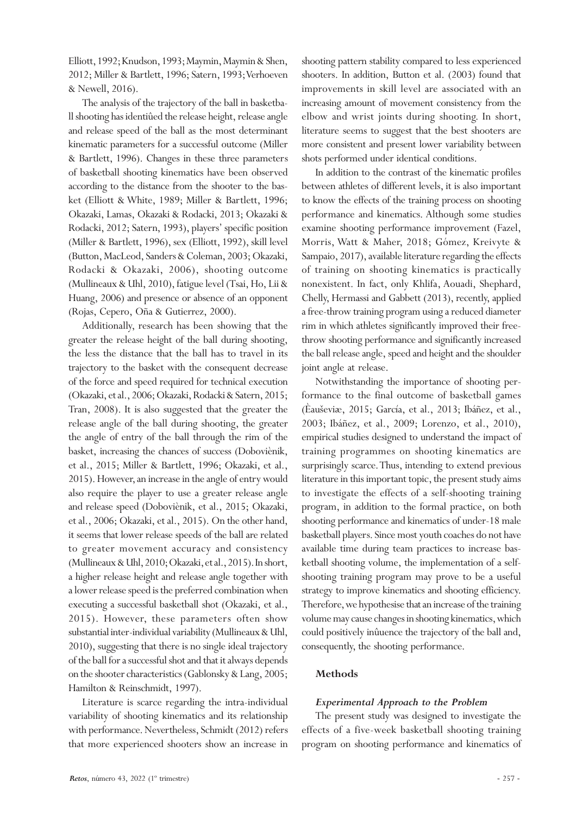Elliott, 1992; Knudson, 1993; Maymin, Maymin & Shen, 2012; Miller & Bartlett, 1996; Satern, 1993; Verhoeven & Newell, 2016).

The analysis of the trajectory of the ball in basketball shooting has identiûed the release height, release angle and release speed of the ball as the most determinant kinematic parameters for a successful outcome (Miller & Bartlett, 1996). Changes in these three parameters of basketball shooting kinematics have been observed according to the distance from the shooter to the basket (Elliott & White, 1989; Miller & Bartlett, 1996; Okazaki, Lamas, Okazaki & Rodacki, 2013; Okazaki & Rodacki, 2012; Satern, 1993), players' specific position (Miller & Bartlett, 1996), sex (Elliott, 1992), skill level (Button, MacLeod, Sanders & Coleman, 2003; Okazaki, Rodacki & Okazaki, 2006), shooting outcome (Mullineaux & Uhl, 2010), fatigue level (Tsai, Ho, Lii & Huang, 2006) and presence or absence of an opponent (Rojas, Cepero, Oña & Gutierrez, 2000).

Additionally, research has been showing that the greater the release height of the ball during shooting, the less the distance that the ball has to travel in its trajectory to the basket with the consequent decrease of the force and speed required for technical execution (Okazaki, et al., 2006; Okazaki, Rodacki & Satern, 2015; Tran, 2008). It is also suggested that the greater the release angle of the ball during shooting, the greater the angle of entry of the ball through the rim of the basket, increasing the chances of success (Doboviènik, et al., 2015; Miller & Bartlett, 1996; Okazaki, et al., 2015). However, an increase in the angle of entry would also require the player to use a greater release angle and release speed (Doboviènik, et al., 2015; Okazaki, et al., 2006; Okazaki, et al., 2015). On the other hand, it seems that lower release speeds of the ball are related to greater movement accuracy and consistency (Mullineaux & Uhl, 2010; Okazaki, et al., 2015). In short, a higher release height and release angle together with a lower release speed is the preferred combination when executing a successful basketball shot (Okazaki, et al., 2015). However, these parameters often show substantial inter-individual variability (Mullineaux & Uhl, 2010), suggesting that there is no single ideal trajectory of the ball for a successful shot and that it always depends on the shooter characteristics (Gablonsky & Lang, 2005; Hamilton & Reinschmidt, 1997).

Literature is scarce regarding the intra-individual variability of shooting kinematics and its relationship with performance. Nevertheless, Schmidt (2012) refers that more experienced shooters show an increase in

shooting pattern stability compared to less experienced shooters. In addition, Button et al. (2003) found that improvements in skill level are associated with an increasing amount of movement consistency from the elbow and wrist joints during shooting. In short, literature seems to suggest that the best shooters are more consistent and present lower variability between shots performed under identical conditions.

In addition to the contrast of the kinematic profiles between athletes of different levels, it is also important to know the effects of the training process on shooting performance and kinematics. Although some studies examine shooting performance improvement (Fazel, Morris, Watt & Maher, 2018; Gómez, Kreivyte & Sampaio, 2017), available literature regarding the effects of training on shooting kinematics is practically nonexistent. In fact, only Khlifa, Aouadi, Shephard, Chelly, Hermassi and Gabbett (2013), recently, applied a free-throw training program using a reduced diameter rim in which athletes significantly improved their freethrow shooting performance and significantly increased the ball release angle, speed and height and the shoulder joint angle at release.

Notwithstanding the importance of shooting performance to the final outcome of basketball games (Èauševiæ, 2015; García, et al., 2013; Ibáñez, et al., 2003; Ibáñez, et al., 2009; Lorenzo, et al., 2010), empirical studies designed to understand the impact of training programmes on shooting kinematics are surprisingly scarce. Thus, intending to extend previous literature in this important topic, the present study aims to investigate the effects of a self-shooting training program, in addition to the formal practice, on both shooting performance and kinematics of under-18 male basketball players. Since most youth coaches do not have available time during team practices to increase basketball shooting volume, the implementation of a selfshooting training program may prove to be a useful strategy to improve kinematics and shooting efficiency. Therefore, we hypothesise that an increase of the training volume may cause changes in shooting kinematics, which could positively inûuence the trajectory of the ball and, consequently, the shooting performance.

## **Methods**

## *Experimental Approach to the Problem*

The present study was designed to investigate the effects of a five-week basketball shooting training program on shooting performance and kinematics of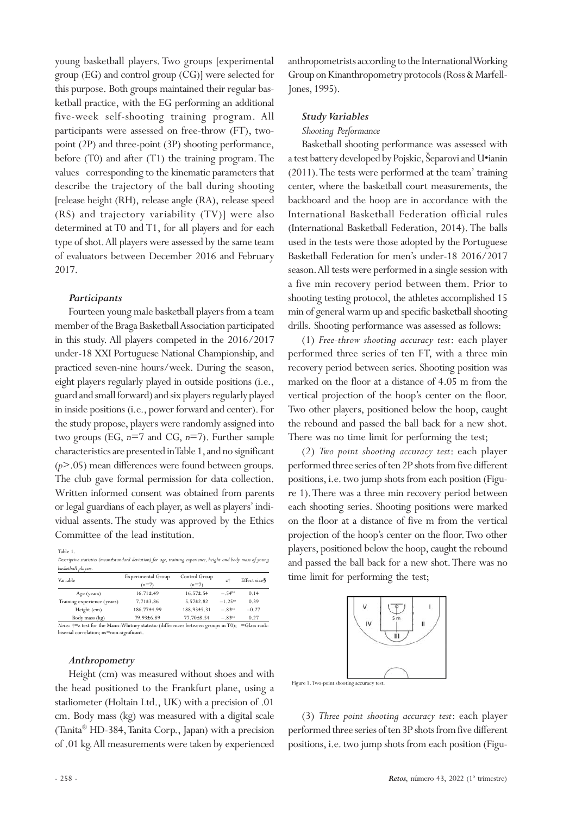young basketball players. Two groups [experimental group (EG) and control group (CG)] were selected for this purpose. Both groups maintained their regular basketball practice, with the EG performing an additional five-week self-shooting training program. All participants were assessed on free-throw (FT), twopoint (2P) and three-point (3P) shooting performance, before (T0) and after (T1) the training program. The values corresponding to the kinematic parameters that describe the trajectory of the ball during shooting [release height (RH), release angle (RA), release speed (RS) and trajectory variability (TV)] were also determined at T0 and T1, for all players and for each type of shot. All players were assessed by the same team of evaluators between December 2016 and February 2017.

## *Participants*

Fourteen young male basketball players from a team member of the Braga Basketball Association participated in this study. All players competed in the 2016/2017 under-18 XXI Portuguese National Championship, and practiced seven-nine hours/week. During the season, eight players regularly played in outside positions (i.e., guard and small forward) and six players regularly played in inside positions (i.e., power forward and center). For the study propose, players were randomly assigned into two groups (EG, *n*=7 and CG, *n*=7). Further sample characteristics are presented in Table 1, and no significant (*p*>.05) mean differences were found between groups. The club gave formal permission for data collection. Written informed consent was obtained from parents or legal guardians of each player, as well as players' individual assents. The study was approved by the Ethics Committee of the lead institution.

Table 1.

*Descriptive statistics (mean±standard deviation) for age, training experience, height and body mass of young basketball players.*

| Variable                                                                                                                      | <b>Experimental Group</b> | Control Group    |                       | Effect size <sup>§</sup> |  |  |  |  |  |
|-------------------------------------------------------------------------------------------------------------------------------|---------------------------|------------------|-----------------------|--------------------------|--|--|--|--|--|
|                                                                                                                               | $(n=7)$                   | $(n=7)$          | zi                    |                          |  |  |  |  |  |
| Age (years)                                                                                                                   | $16.71 \pm .49$           | $16.57 \pm 0.54$ | $-.54ns$              | 0.14                     |  |  |  |  |  |
| Training experience (years)                                                                                                   | $7.71 \pm 3.86$           | $5.57 \pm 2.82$  | $-1.25$ <sup>ns</sup> | 0.39                     |  |  |  |  |  |
| Height (cm)                                                                                                                   | 186.77±4.99               | 188.93±5.31      | $-.83ns$              | $-0.27$                  |  |  |  |  |  |
| Body mass (kg)                                                                                                                | 79.93±6.89                | 77.70±8.54       | $-.83ns$              | 0.27                     |  |  |  |  |  |
| <i>Notes:</i> $\dagger \equiv z$ test for the Mann-Whitney statistic (differences between groups in T0); $\equiv$ Glass rank- |                           |                  |                       |                          |  |  |  |  |  |

biserial correlation; ns=non-significant.

#### *Anthropometry*

Height (cm) was measured without shoes and with the head positioned to the Frankfurt plane, using a stadiometer (Holtain Ltd., UK) with a precision of .01 cm. Body mass (kg) was measured with a digital scale (Tanita® HD-384, Tanita Corp., Japan) with a precision of .01 kg. All measurements were taken by experienced anthropometrists according to the International Working Group on Kinanthropometry protocols (Ross & Marfell-Jones, 1995).

## *Study Variables*

#### *Shooting Performance*

Basketball shooting performance was assessed with a test battery developed by Pojskic, Šeparovi and U•ianin (2011). The tests were performed at the team' training center, where the basketball court measurements, the backboard and the hoop are in accordance with the International Basketball Federation official rules (International Basketball Federation, 2014). The balls used in the tests were those adopted by the Portuguese Basketball Federation for men's under-18 2016/2017 season. All tests were performed in a single session with a five min recovery period between them. Prior to shooting testing protocol, the athletes accomplished 15 min of general warm up and specific basketball shooting drills. Shooting performance was assessed as follows:

(1) *Free-throw shooting accuracy test*: each player performed three series of ten FT, with a three min recovery period between series. Shooting position was marked on the floor at a distance of 4.05 m from the vertical projection of the hoop's center on the floor. Two other players, positioned below the hoop, caught the rebound and passed the ball back for a new shot. There was no time limit for performing the test;

(2) *Two point shooting accuracy test*: each player performed three series of ten 2P shots from five different positions, i.e. two jump shots from each position (Figure 1). There was a three min recovery period between each shooting series. Shooting positions were marked on the floor at a distance of five m from the vertical projection of the hoop's center on the floor. Two other players, positioned below the hoop, caught the rebound and passed the ball back for a new shot. There was no time limit for performing the test;



Figure 1. Two-point shooting accuracy test.

(3) *Three point shooting accuracy test*: each player performed three series of ten 3P shots from five different positions, i.e. two jump shots from each position (Figu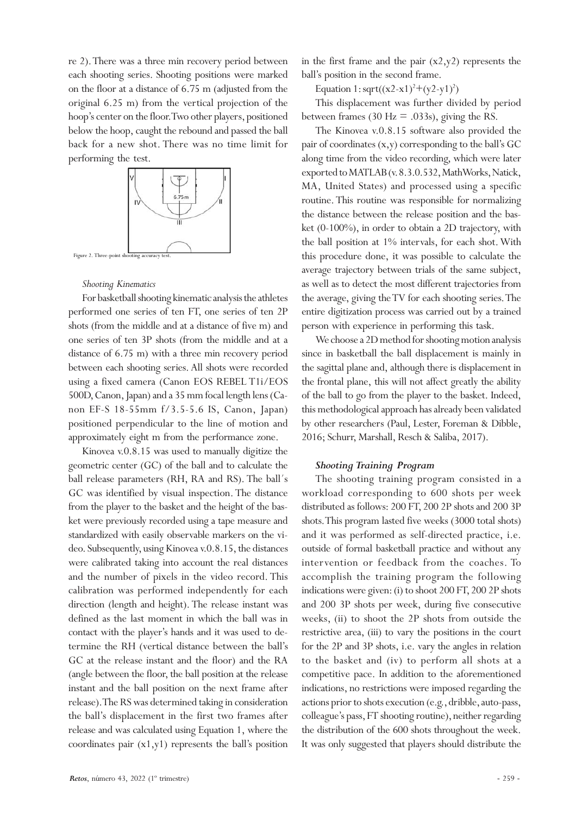re 2). There was a three min recovery period between each shooting series. Shooting positions were marked on the floor at a distance of 6.75 m (adjusted from the original 6.25 m) from the vertical projection of the hoop's center on the floor. Two other players, positioned below the hoop, caught the rebound and passed the ball back for a new shot. There was no time limit for performing the test.



#### *Shooting Kinematics*

For basketball shooting kinematic analysis the athletes performed one series of ten FT, one series of ten 2P shots (from the middle and at a distance of five m) and one series of ten 3P shots (from the middle and at a distance of 6.75 m) with a three min recovery period between each shooting series. All shots were recorded using a fixed camera (Canon EOS REBEL T1i/EOS 500D, Canon, Japan) and a 35 mm focal length lens (Canon EF-S 18-55mm f/3.5-5.6 IS, Canon, Japan) positioned perpendicular to the line of motion and approximately eight m from the performance zone.

Kinovea v.0.8.15 was used to manually digitize the geometric center (GC) of the ball and to calculate the ball release parameters (RH, RA and RS). The ball´s GC was identified by visual inspection. The distance from the player to the basket and the height of the basket were previously recorded using a tape measure and standardized with easily observable markers on the video. Subsequently, using Kinovea v.0.8.15, the distances were calibrated taking into account the real distances and the number of pixels in the video record. This calibration was performed independently for each direction (length and height). The release instant was defined as the last moment in which the ball was in contact with the player's hands and it was used to determine the RH (vertical distance between the ball's GC at the release instant and the floor) and the RA (angle between the floor, the ball position at the release instant and the ball position on the next frame after release). The RS was determined taking in consideration the ball's displacement in the first two frames after release and was calculated using Equation 1, where the coordinates pair  $(x1,y1)$  represents the ball's position

in the first frame and the pair  $(x2,y2)$  represents the ball's position in the second frame.

Equation 1:  $sqrt((x^2-x^2)^2+(y^2-y^2)^2)$ 

This displacement was further divided by period between frames (30 Hz = .033s), giving the RS.

The Kinovea v.0.8.15 software also provided the pair of coordinates (x,y) corresponding to the ball's GC along time from the video recording, which were later exported to MATLAB (v. 8.3.0.532, MathWorks, Natick, MA, United States) and processed using a specific routine. This routine was responsible for normalizing the distance between the release position and the basket (0-100%), in order to obtain a 2D trajectory, with the ball position at 1% intervals, for each shot. With this procedure done, it was possible to calculate the average trajectory between trials of the same subject, as well as to detect the most different trajectories from the average, giving the TV for each shooting series. The entire digitization process was carried out by a trained person with experience in performing this task.

We choose a 2D method for shooting motion analysis since in basketball the ball displacement is mainly in the sagittal plane and, although there is displacement in the frontal plane, this will not affect greatly the ability of the ball to go from the player to the basket. Indeed, this methodological approach has already been validated by other researchers (Paul, Lester, Foreman & Dibble, 2016; Schurr, Marshall, Resch & Saliba, 2017).

#### *Shooting Training Program*

The shooting training program consisted in a workload corresponding to 600 shots per week distributed as follows: 200 FT, 200 2P shots and 200 3P shots. This program lasted five weeks (3000 total shots) and it was performed as self-directed practice, i.e. outside of formal basketball practice and without any intervention or feedback from the coaches. To accomplish the training program the following indications were given: (i) to shoot 200 FT, 200 2P shots and 200 3P shots per week, during five consecutive weeks, (ii) to shoot the 2P shots from outside the restrictive area, (iii) to vary the positions in the court for the 2P and 3P shots, i.e. vary the angles in relation to the basket and (iv) to perform all shots at a competitive pace. In addition to the aforementioned indications, no restrictions were imposed regarding the actions prior to shots execution (e.g., dribble, auto-pass, colleague's pass, FT shooting routine), neither regarding the distribution of the 600 shots throughout the week. It was only suggested that players should distribute the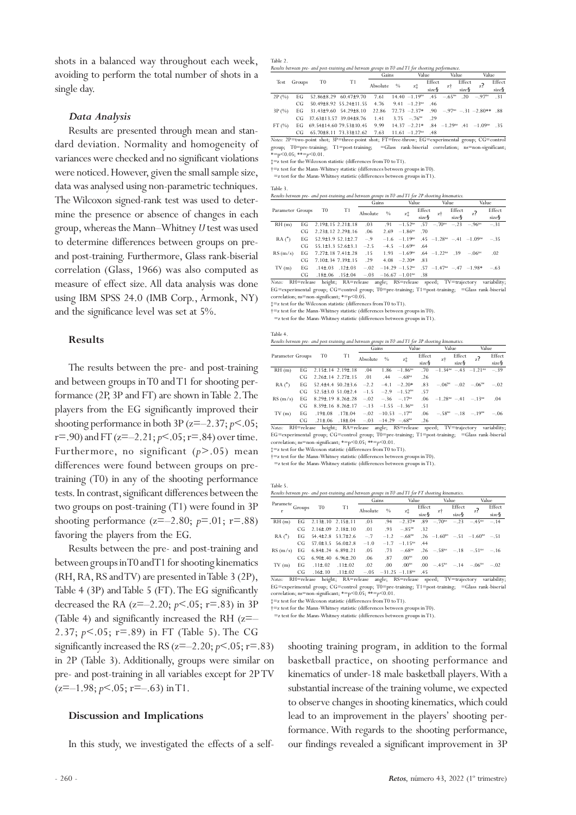shots in a balanced way throughout each week, avoiding to perform the total number of shots in a single day.

#### *Data Analysis*

Results are presented through mean and standard deviation. Normality and homogeneity of variances were checked and no significant violations were noticed. However, given the small sample size, data was analysed using non-parametric techniques. The Wilcoxon signed-rank test was used to determine the presence or absence of changes in each group, whereas the Mann–Whitney *U* test was used to determine differences between groups on preand post-training. Furthermore, Glass rank-biserial correlation (Glass, 1966) was also computed as measure of effect size. All data analysis was done using IBM SPSS 24.0 (IMB Corp., Armonk, NY) and the significance level was set at 5%.

#### **Results**

The results between the pre- and post-training and between groups in T0 and T1 for shooting performance (2P, 3P and FT) are shown in Table 2. The players from the EG significantly improved their shooting performance in both 3P ( $z=-2.37; p<.05;$  $r = .90$ ) and FT ( $z = -2.21$ ;  $p < .05$ ;  $r = .84$ ) over time. Furthermore, no significant (*p*>.05) mean differences were found between groups on pretraining (T0) in any of the shooting performance tests. In contrast, significant differences between the two groups on post-training (T1) were found in 3P shooting performance  $(z=-2.80; p=.01; r=.88)$ favoring the players from the EG.

Results between the pre- and post-training and between groups in T0 and T1 for shooting kinematics (RH, RA, RS and TV) are presented in Table 3 (2P), Table 4 (3P) and Table 5 (FT). The EG significantly decreased the RA  $(z=-2.20; p<.05; r=.83$  in 3P (Table 4) and significantly increased the RH  $(z=-$ 2.37; *p*<.05; r=.89) in FT (Table 5). The CG significantly increased the RS  $(z=-2.20; p<.05; r=.83)$ in 2P (Table 3). Additionally, groups were similar on pre- and post-training in all variables except for 2P TV  $(z=-1.98; p<0.05; r=-0.63)$  in T1.

#### **Discussion and Implications**

In this study, we investigated the effects of a self-

Table 4.

Table 5.

| Results between pre- and post-training and between groups in TO and T1 for shooting performance. |        |                         |                                                                                                 |          |      |                              |        |          |        |                                                       |        |
|--------------------------------------------------------------------------------------------------|--------|-------------------------|-------------------------------------------------------------------------------------------------|----------|------|------------------------------|--------|----------|--------|-------------------------------------------------------|--------|
|                                                                                                  |        |                         |                                                                                                 | Gains    |      |                              | Value  |          | Value  |                                                       | Value  |
| Test                                                                                             | Groups | T <sub>0</sub>          | T1                                                                                              |          |      |                              | Effect |          | Effect | h                                                     | Effect |
|                                                                                                  |        |                         |                                                                                                 | Absolute | $\%$ | zţ                           | size   | zt       | size   | z!                                                    | size§  |
| 2P(%)                                                                                            | EG     |                         | 52.86±8.29 60.47±9.70                                                                           | 7.61     |      | $14.40 - 1.19ns$             | .45    | $-.65ns$ | .20    | $-97^{\rm ns}$                                        | .31    |
|                                                                                                  | CG     |                         | 50.49±8.92 55.24±11.55                                                                          | 4.76     |      | $9.41 - 1.23ns$              | .46    |          |        |                                                       |        |
| 3P(%)                                                                                            | EG     |                         | 31.43±9.60 54.29±8.10                                                                           | 22.86    |      | $72.73 - 2.37*$              | .90    |          |        | $-97^{\text{ns}} - 31 - 2.80**$                       | - 88   |
|                                                                                                  | CG     | 37.63±13.57 39.04±8.76  |                                                                                                 | 1.41     |      | $3.75 - 76$ <sup>ns</sup>    | .29    |          |        |                                                       |        |
| FT(%)                                                                                            | EG     | 69.54±14.60 79.53±10.45 |                                                                                                 | 9.99     |      | $14.37 -2.21*$               |        |          |        | $.84 -1.29^{ns}$ $.41 -1.09^{ns}$                     | .35    |
|                                                                                                  | CG     |                         | 65.70±8.11 73.33±12.62                                                                          | 7.63     |      | $11.61 - 1.27$ <sup>ns</sup> | .48    |          |        |                                                       |        |
|                                                                                                  |        |                         | Notes: 2P=two-point shot; 3P=three-point shot; FT=free-throw; EG=experimental group; CG=control |          |      |                              |        |          |        |                                                       |        |
| group;                                                                                           |        | T0=pre-training;        | $T1 = post-training;$                                                                           |          |      |                              |        |          |        | =Glass rank-biserial correlation; ns=non-significant; |        |

 $* = p < 0.05$ ;  $* = p < 0.01$ . ‡=z test for theWilcoxon statistic (differences fromT0 to T1).

†=z test for the Mann-Whitney statistic (differences between groups in T0).

 $=$ z test for the Mann-Whitney statistic (differences between groups in T1).

Table 3.

|  | Results between pre- and post-training and between groups in TO and T1 for 2P shooting kinematics. |  |  |  |
|--|----------------------------------------------------------------------------------------------------|--|--|--|
|--|----------------------------------------------------------------------------------------------------|--|--|--|

|                  |     |                                 |                         | Gains    |               | Value                         |        | Value                          |        | Value                                                |        |
|------------------|-----|---------------------------------|-------------------------|----------|---------------|-------------------------------|--------|--------------------------------|--------|------------------------------------------------------|--------|
| Parameter Groups |     | T0                              | T1                      |          | $\frac{0}{0}$ |                               | Effect |                                | Effect |                                                      | Effect |
|                  |     |                                 |                         | Absolute |               | zİ                            | size   | zt                             | size   | z                                                    | size§  |
| RH(m)            | EG  | $2.19\pm 15$ $2.21\pm 18$       |                         | .03      |               | $.91 -1.52ns$                 |        | $.57 - .70^{\text{ns}}$        |        | $-.23 - .96^{\text{ns}}$                             | $-.31$ |
|                  | CG  | $2.23 \pm 0.12$ $2.29 \pm 0.16$ |                         | .06      |               | $2.69 - 1.86$ <sup>ns</sup>   | - 70   |                                |        |                                                      |        |
| RA(°)            | EG  |                                 | $52.9\pm3.952.1\pm2.7$  | $-.9$    |               | $-1.6$ $-1.19$ <sup>ns</sup>  |        |                                |        | $45 - 1.28$ <sup>ns</sup> $-41 - 1.09$ <sup>ns</sup> | $-.35$ |
|                  | CG. |                                 | $55.1\pm3.352.6\pm3.1$  | $-2.5$   |               | $-4.5$ $-1.69$ <sup>ns</sup>  | - 64   |                                |        |                                                      |        |
| RS(m/s)          | EG  | $7.27 \pm 18$ $7.41 \pm 28$     |                         | .15      |               | $1.93 - 1.69$ <sup>ns</sup>   |        | $.64 - 1.22$ <sup>ns</sup> .39 |        | $-.06ns$                                             | .02    |
|                  | CG  | $7.10 \pm .34$ $7.39 \pm .15$   |                         | .29      |               | $4.08 -2.20*$                 | -83    |                                |        |                                                      |        |
| TV(m)            | EG  | $.14\pm.03$                     | $.12 \pm .03$           | $-.02$   |               | $-14.29 - 1.52$ <sup>ns</sup> |        |                                |        | $-57 - 1.47^{\text{ns}} - 47 - 1.98^*$               | $-.63$ |
|                  | CG. |                                 | $.18\pm.06$ $.15\pm.04$ | $-.03$   |               | $-16.67 - 1.01ms$             | .38    |                                |        |                                                      |        |

RH=release height; RA=release angle; RS=release speed; TV=trajectory Notes: RH=release height; RA=release angle; RS=release speed; TV=trajectory variability;<br>EG=experimental\_group; CG=control\_group; T0=pre-training; T1=post-training; =Glass-rank-biserial<br>correlation;ns=non-significant;\*=p<

‡=z test for the Wilcoxon statistic (differences fromT0 to T1).

†=z test for the Mann-Whitney statistic (differences between groups in T0).

 $=$ z test for the Mann-Whitney statistic (differences between groups in T1).

| Results between pre- and post-training and between groups in TO and T1 for 3P shooting kinematics. |  |  |  |  |
|----------------------------------------------------------------------------------------------------|--|--|--|--|
|                                                                                                    |  |  |  |  |

|                  |            |                                                               |                                                  | Gains    |      | Value                       |          | Value                 |        | Value                                        |        |
|------------------|------------|---------------------------------------------------------------|--------------------------------------------------|----------|------|-----------------------------|----------|-----------------------|--------|----------------------------------------------|--------|
| Parameter Groups |            | T <sub>0</sub>                                                | T1                                               | Absolute | $\%$ |                             | Effect   |                       | Effect |                                              | Effect |
|                  |            |                                                               |                                                  |          |      | zţ                          | $size$ § | zt                    | size   | z                                            | size§  |
| RH(m)            | EG         | $2.15 \pm .14$ 2.19 $\pm .18$                                 |                                                  | .04      |      | $1.86 - 1.86$ <sup>ns</sup> | .70      |                       |        | $-1.34^{\text{ns}} - .43 -1.21^{\text{ns}}$  | $-.39$ |
|                  | CG         | $2.26 \pm .14$ $2.27 \pm .15$                                 |                                                  | .01      | .44  | $-.68ns$                    | .26      |                       |        |                                              |        |
| $RA(^{\circ})$   | EG.        |                                                               | $52.4\pm4.4$ $50.2\pm3.6$                        | $-2.2$   |      | $-4.1 -2.20*$               | .83      |                       |        | $-.06^{\text{ns}}$ $-.02$ $-.06^{\text{ns}}$ | $-.02$ |
|                  | CG         | $52.5\pm3.0$ $51.0\pm2.4$ $-1.5$ $-2.9$ $-1.52$ <sup>ms</sup> |                                                  |          |      |                             | -57      |                       |        |                                              |        |
| RS(m/s)          | EG         | $8.29\pm.19$ $8.26\pm.28$ $-.02$ $-.36$ $-.17^{\text{ns}}$    |                                                  |          |      |                             | .06      | $-1.28ns - 41 - 13ns$ |        |                                              | .04    |
|                  | CG         | 8.39 $\pm$ .16 8.26 $\pm$ .17 -.13 -1.55 -1.36 <sup>ns</sup>  |                                                  |          |      |                             | .51      |                       |        |                                              |        |
| TV(m)            | EG         |                                                               | $.19\pm.08$ $.17\pm.04$ $-.02$ $-10.53$ $-.17ns$ |          |      |                             | .06      |                       |        | $-.58^{\text{ns}}$ $-.18$ $-.19^{\text{ns}}$ | $-.06$ |
|                  | $\sqrt{2}$ |                                                               | $21 + 0$ $10 + 04$ $02$ $14, 20$ $00$            |          |      |                             | $\sim$   |                       |        |                                              |        |

CG .21±.06 .18±.04 −.03 −14.29 −.68<sup>ns</sup> .26<br>*Notes*: RH=release height; RA=release angle; RS=release speed; TV=trajectory variability; EG=experimental group; CG=control group; T0=pre-training; T1=post-training; =Glass rank-biserial correlation; ns=non-significant; \*=p<0.05; \*\*=*p*<0.01.

‡=z test for the Wilcoxon statistic (differences fromT0 to T1).

†=z test for the Mann-Whitney statistic (differences between groups in T0).

=z test for the Mann-Whitney statistic (differences between groups in T1).

|                |        |                           | Results between pre- and post-training and between groups in TO and T1 for FT shooting kinematics. |          |        |                     |        |                         |        |                                                 |         |
|----------------|--------|---------------------------|----------------------------------------------------------------------------------------------------|----------|--------|---------------------|--------|-------------------------|--------|-------------------------------------------------|---------|
|                |        |                           |                                                                                                    | Gains    |        | Value               |        |                         | Value  |                                                 | Value   |
| Paramete       | Groups | T <sub>0</sub>            | T1                                                                                                 |          | $\%$   |                     | Effect |                         | Effect |                                                 | Effect  |
|                |        |                           |                                                                                                    | Absolute |        | zİ                  | size   | zŤ                      | size§  | z                                               | $size\$ |
| RH(m)          | EG     | $2.13\pm.10$ $2.15\pm.11$ |                                                                                                    | .03      | .94    | $-2.37*$            | .89    | $-.70ns$                | $-23$  | $-45$ <sup>ns</sup>                             | $-.14$  |
|                | CG     |                           | $2.16\pm.09$ $2.18\pm.10$                                                                          | .01      | .93    | $-.85ns$            | .32    |                         |        |                                                 |         |
| $RA(^{\circ})$ | EG     |                           | $54.4\pm 2.8$ $53.7\pm 2.6$                                                                        | $-.7$    | $-1.2$ | $-.68ns$            |        |                         |        | $.26 -1.60^{\text{ns}} - .51 -1.60^{\text{ns}}$ | $-.51$  |
|                | CG     |                           | $57.0\pm3.5$ $56.0\pm2.8$                                                                          | $-1.0$   | $-1.7$ | $-1.15ns$           | .44    |                         |        |                                                 |         |
| RS(m/s)        | EG     | $6.84\pm.24$ $6.89\pm.21$ |                                                                                                    | .05      | .73    | $-.68ns$            |        | $.26 - .58^{\text{ns}}$ |        | $-.18 - .51ns$                                  | $-.16$  |
|                | CG     |                           | $6.90\pm.40$ $6.96\pm.20$                                                                          | .06      | .87    | .00 <sup>ns</sup>   | .00    |                         |        |                                                 |         |
| TV(m)          | EG     | $.11\pm.02$               | $.11\pm.02$                                                                                        | .02      | .00    | .00 <sup>ns</sup>   | .00    | $-.45ns$                | $-.14$ | $-.06ns$                                        | $-.02$  |
|                | cc     | $16+10$                   | $11+02$                                                                                            |          |        | 0 C 21 2 C 1 1 Q DS | 4E     |                         |        |                                                 |         |

CG .16±.10 .11±.02 –.05 –31.25 –1.18ns .45 *Notes:* RH=release height; RA=release angle; RS=release speed; TV=trajectory variability; EG=experimental group; CG=control group; T0=pre-training; T1=post-training; =Glass rank-biserial<br>correlation; ns=non-significant; \*=p<0.05; \*\*=p<0.01.<br>‡=z test for the Wilcoxon statistic (differences from T0 to T1).

†=z test for the Mann-Whitney statistic (differences between groups in T0).

=z test for the Mann-Whitney statistic (differences between groups in T1).

shooting training program, in addition to the formal basketball practice, on shooting performance and kinematics of under-18 male basketball players. With a substantial increase of the training volume, we expected to observe changes in shooting kinematics, which could lead to an improvement in the players' shooting performance. With regards to the shooting performance, our findings revealed a significant improvement in 3P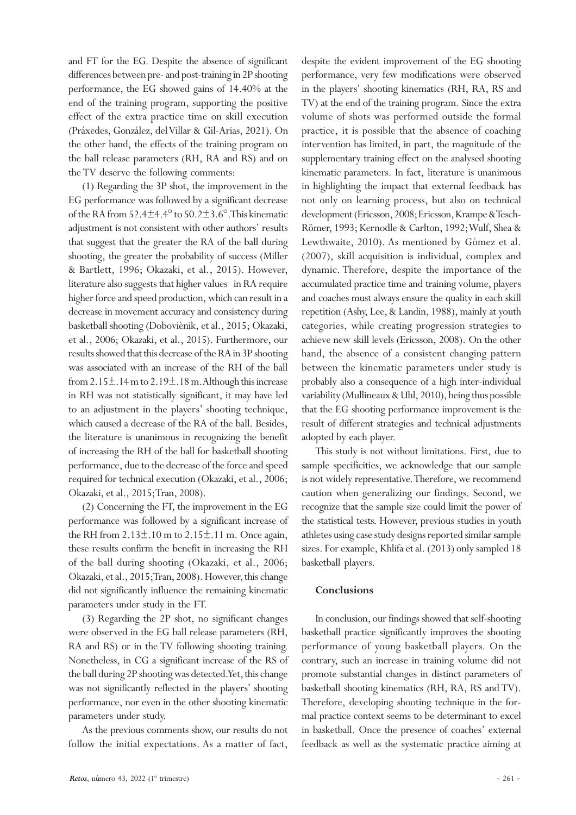and FT for the EG. Despite the absence of significant differences between pre- and post-training in 2P shooting performance, the EG showed gains of 14.40% at the end of the training program, supporting the positive effect of the extra practice time on skill execution (Práxedes, González, del Villar & Gil-Arias, 2021). On the other hand, the effects of the training program on the ball release parameters (RH, RA and RS) and on the TV deserve the following comments:

(1) Regarding the 3P shot, the improvement in the EG performance was followed by a significant decrease of the RA from  $52.4\pm4.4^{\circ}$  to  $50.2\pm3.6^{\circ}$ . This kinematic adjustment is not consistent with other authors' results that suggest that the greater the RA of the ball during shooting, the greater the probability of success (Miller & Bartlett, 1996; Okazaki, et al., 2015). However, literature also suggests that higher values in RA require higher force and speed production, which can result in a decrease in movement accuracy and consistency during basketball shooting (Doboviènik, et al., 2015; Okazaki, et al., 2006; Okazaki, et al., 2015). Furthermore, our results showed that this decrease of the RA in 3P shooting was associated with an increase of the RH of the ball from 2.15 $\pm$ .14 m to 2.19 $\pm$ .18 m. Although this increase in RH was not statistically significant, it may have led to an adjustment in the players' shooting technique, which caused a decrease of the RA of the ball. Besides, the literature is unanimous in recognizing the benefit of increasing the RH of the ball for basketball shooting performance, due to the decrease of the force and speed required for technical execution (Okazaki, et al., 2006; Okazaki, et al., 2015; Tran, 2008).

(2) Concerning the FT, the improvement in the EG performance was followed by a significant increase of the RH from  $2.13\pm.10$  m to  $2.15\pm.11$  m. Once again, these results confirm the benefit in increasing the RH of the ball during shooting (Okazaki, et al., 2006; Okazaki, et al., 2015; Tran, 2008). However, this change did not significantly influence the remaining kinematic parameters under study in the FT.

(3) Regarding the 2P shot, no significant changes were observed in the EG ball release parameters (RH, RA and RS) or in the TV following shooting training. Nonetheless, in CG a significant increase of the RS of the ball during 2P shooting was detected. Yet, this change was not significantly reflected in the players' shooting performance, nor even in the other shooting kinematic parameters under study.

As the previous comments show, our results do not follow the initial expectations. As a matter of fact,

despite the evident improvement of the EG shooting performance, very few modifications were observed in the players' shooting kinematics (RH, RA, RS and TV) at the end of the training program. Since the extra volume of shots was performed outside the formal practice, it is possible that the absence of coaching intervention has limited, in part, the magnitude of the supplementary training effect on the analysed shooting kinematic parameters. In fact, literature is unanimous in highlighting the impact that external feedback has not only on learning process, but also on technical development (Ericsson, 2008; Ericsson, Krampe & Tesch-Römer, 1993; Kernodle & Carlton, 1992; Wulf, Shea & Lewthwaite, 2010). As mentioned by Gómez et al. (2007), skill acquisition is individual, complex and dynamic. Therefore, despite the importance of the accumulated practice time and training volume, players and coaches must always ensure the quality in each skill repetition (Ashy, Lee, & Landin, 1988), mainly at youth categories, while creating progression strategies to achieve new skill levels (Ericsson, 2008). On the other hand, the absence of a consistent changing pattern between the kinematic parameters under study is probably also a consequence of a high inter-individual variability (Mullineaux & Uhl, 2010), being thus possible that the EG shooting performance improvement is the result of different strategies and technical adjustments adopted by each player.

This study is not without limitations. First, due to sample specificities, we acknowledge that our sample is not widely representative. Therefore, we recommend caution when generalizing our findings. Second, we recognize that the sample size could limit the power of the statistical tests. However, previous studies in youth athletes using case study designs reported similar sample sizes. For example, Khlifa et al. (2013) only sampled 18 basketball players.

## **Conclusions**

In conclusion, our findings showed that self-shooting basketball practice significantly improves the shooting performance of young basketball players. On the contrary, such an increase in training volume did not promote substantial changes in distinct parameters of basketball shooting kinematics (RH, RA, RS and TV). Therefore, developing shooting technique in the formal practice context seems to be determinant to excel in basketball. Once the presence of coaches' external feedback as well as the systematic practice aiming at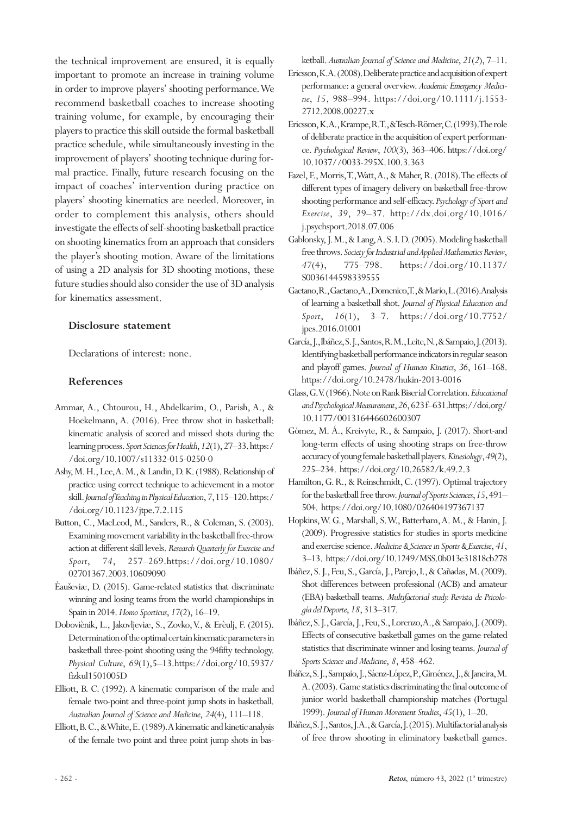the technical improvement are ensured, it is equally important to promote an increase in training volume in order to improve players' shooting performance. We recommend basketball coaches to increase shooting training volume, for example, by encouraging their players to practice this skill outside the formal basketball practice schedule, while simultaneously investing in the improvement of players' shooting technique during formal practice. Finally, future research focusing on the impact of coaches' intervention during practice on players' shooting kinematics are needed. Moreover, in order to complement this analysis, others should investigate the effects of self-shooting basketball practice on shooting kinematics from an approach that considers the player's shooting motion. Aware of the limitations of using a 2D analysis for 3D shooting motions, these future studies should also consider the use of 3D analysis for kinematics assessment.

## **Disclosure statement**

Declarations of interest: none.

## **References**

- Ammar, A., Chtourou, H., Abdelkarim, O., Parish, A., & Hoekelmann, A. (2016). Free throw shot in basketball: kinematic analysis of scored and missed shots during the learning process. *Sport Sciences for Health*, *12*(1), 27–33. https:/ /doi.org/10.1007/s11332-015-0250-0
- Ashy, M. H., Lee, A. M., & Landin, D. K. (1988). Relationship of practice using correct technique to achievement in a motor skill. *Journal of Teaching in Physical Education*, *7*, 115–120. https:/ /doi.org/10.1123/jtpe.7.2.115
- Button, C., MacLeod, M., Sanders, R., & Coleman, S. (2003). Examining movement variability in the basketball free-throw action at different skill levels. *Research Quarterly for Exercise and Sport*, *74*, 257–269.https://doi.org/10.1080/ 02701367.2003.10609090
- Èauševiæ, D. (2015). Game-related statistics that discriminate winning and losing teams from the world championships in Spain in 2014. *Homo Sporticus*, *17*(2), 16–19.
- Doboviènik, L., Jakovljeviæ, S., Zovko, V., & Erèulj, F. (2015). Determination of the optimal certain kinematic parameters in basketball three-point shooting using the 94fifty technology. *Physical Culture*, *69*(1),5–13.https://doi.org/10.5937/ fizkul1501005D
- Elliott, B. C. (1992). A kinematic comparison of the male and female two-point and three-point jump shots in basketball. *Australian Journal of Science and Medicine*, *24*(4), 111–118.
- Elliott, B. C., & White, E. (1989). A kinematic and kinetic analysis of the female two point and three point jump shots in bas-

ketball. *Australian Journal of Science and Medicine*, *21*(*2*), 7–11.

- Ericsson, K. A. (2008). Deliberate practice and acquisition of expert performance: a general overview. *Academic Emergency Medicine*, *15*, 988–994. https://doi.org/10.1111/j.1553- 2712.2008.00227.x
- Ericsson, K. A., Krampe, R. T., & Tesch-Römer, C. (1993). The role of deliberate practice in the acquisition of expert performance. *Psychological Review*, *100*(3), 363–406. https://doi.org/ 10.1037//0033-295X.100.3.363
- Fazel, F., Morris, T., Watt, A., & Maher, R. (2018). The effects of different types of imagery delivery on basketball free-throw shooting performance and self-efficacy. *Psychology of Sport and Exercise*, *39*, 29–37. http://dx.doi.org/10.1016/ j.psychsport.2018.07.006
- Gablonsky, J. M., & Lang, A. S. I. D. (2005). Modeling basketball free throws. *Society for Industrial and Applied Mathematics Review*, *47*(4), 775–798. https://doi.org/10.1137/ S0036144598339555
- Gaetano, R., Gaetano, A., Domenico, T., & Mario, L. (2016). Analysis of learning a basketball shot. *Journal of Physical Education and Sport*, *16*(1), 3–7. https://doi.org/10.7752/ jpes.2016.01001
- García, J., Ibáñez, S. J., Santos, R. M., Leite, N., & Sampaio, J. (2013). Identifying basketball performance indicators in regular season and playoff games. *Journal of Human Kinetics*, *36*, 161–168. https://doi.org/10.2478/hukin-2013-0016
- Glass, G.V. (1966). Note on Rank Biserial Correlation. *Educational and Psychological Measurement*, *26*, 623 f–631.https://doi.org/ 10.1177/001316446602600307
- Gómez, M. Á., Kreivyte, R., & Sampaio, J. (2017). Short-and long-term effects of using shooting straps on free-throw accuracy of young female basketball players. *Kinesiology*, *49*(2), 225–234. https://doi.org/10.26582/k.49.2.3
- Hamilton, G. R., & Reinschmidt, C. (1997). Optimal trajectory for the basketball free throw. *Journal of Sports Sciences*, *15*, 491– 504. https://doi.org/10.1080/026404197367137
- Hopkins, W. G., Marshall, S. W., Batterham, A. M., & Hanin, J. (2009). Progressive statistics for studies in sports medicine and exercise science. *Medicine & Science in Sports & Exercise*, *41*, 3–13. https://doi.org/10.1249/MSS.0b013e31818cb278
- Ibáñez, S. J., Feu, S., García, J., Parejo, I., & Cañadas, M. (2009). Shot differences between professional (ACB) and amateur (EBA) basketball teams. *Multifactorial study. Revista de Psicología del Deporte*, *18*,313–317.
- Ibáñez, S. J., García, J., Feu, S., Lorenzo, A., & Sampaio, J. (2009). Effects of consecutive basketball games on the game-related statistics that discriminate winner and losing teams. *Journal of Sports Science and Medicine*, *8*, 458–462.
- Ibáñez, S. J., Sampaio, J., Sáenz-López, P., Giménez, J., & Janeira, M. A. (2003). Game statistics discriminating the final outcome of junior world basketball championship matches (Portugal 1999). *Journal of Human Movement Studies*, *45*(1), 1–20.
- Ibáñez, S. J., Santos, J. A., & García, J. (2015). Multifactorial analysis of free throw shooting in eliminatory basketball games.